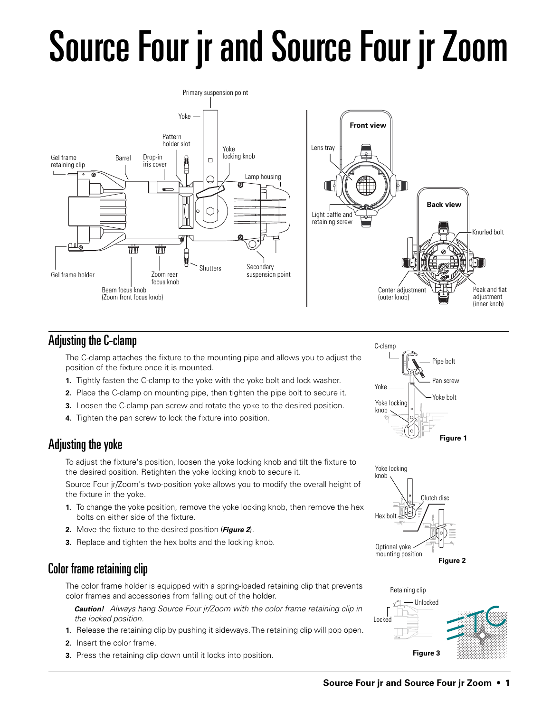# Source Four jr and Source Four jr Zoom



## Adjusting the C-clamp

The C-clamp attaches the fixture to the mounting pipe and allows you to adjust the position of the fixture once it is mounted.

- **1.** Tightly fasten the C-clamp to the yoke with the yoke bolt and lock washer.
- **2.** Place the C-clamp on mounting pipe, then tighten the pipe bolt to secure it.
- **3.** Loosen the C-clamp pan screw and rotate the yoke to the desired position.
- **4.** Tighten the pan screw to lock the fixture into position.

## Adjusting the yoke

To adjust the fixture's position, loosen the yoke locking knob and tilt the fixture to the desired position. Retighten the yoke locking knob to secure it.

Source Four jr/Zoom's two-position yoke allows you to modify the overall height of the fixture in the yoke.

- **1.** To change the yoke position, remove the yoke locking knob, then remove the hex bolts on either side of the fixture.
- **2.** Move the fixture to the desired position (**Figure 2**).
- **3.** Replace and tighten the hex bolts and the locking knob.

## Color frame retaining clip

The color frame holder is equipped with a spring-loaded retaining clip that prevents color frames and accessories from falling out of the holder.

**Caution!** Always hang Source Four jr/Zoom with the color frame retaining clip in the locked position.

- **1.** Release the retaining clip by pushing it sideways. The retaining clip will pop open.
- **2.** Insert the color frame.
- **3.** Press the retaining clip down until it locks into position.





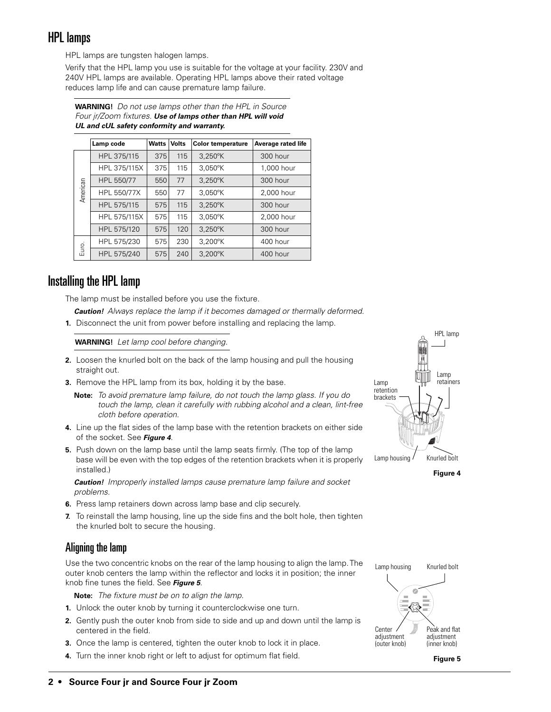#### HPL lamps

HPL lamps are tungsten halogen lamps.

Verify that the HPL lamp you use is suitable for the voltage at your facility. 230V and 240V HPL lamps are available. Operating HPL lamps above their rated voltage reduces lamp life and can cause premature lamp failure.

| UL and cUL safety conformity and warranty.                    |  |  |  |  |  |  |  |
|---------------------------------------------------------------|--|--|--|--|--|--|--|
| Four jr/Zoom fixtures. Use of lamps other than HPL will void  |  |  |  |  |  |  |  |
| <b>WARNING!</b> Do not use lamps other than the HPL in Source |  |  |  |  |  |  |  |

|                                                                         | Lamp code    | Watts | <b>Volts</b> | <b>Color temperature</b> | Average rated life |  |
|-------------------------------------------------------------------------|--------------|-------|--------------|--------------------------|--------------------|--|
| American                                                                | HPL 375/115  | 375   | 115          | 3,250°K                  | 300 hour           |  |
|                                                                         | HPL 375/115X | 375   | 115          | 3,050°K                  | 1,000 hour         |  |
|                                                                         | HPL 550/77   | 550   | 77           | $3,250^{\circ}$ K        | 300 hour           |  |
|                                                                         | HPL 550/77X  | 550   | 77           | $3.050^{\circ}$ K        | 2,000 hour         |  |
|                                                                         | HPL 575/115  | 575   | 115          | $3,250^{\circ}$ K        | 300 hour           |  |
|                                                                         | HPL 575/115X | 575   | 115          | 3,050°K                  | 2,000 hour         |  |
|                                                                         | HPL 575/120  | 575   | 120          | $3,250^\circ K$          | 300 hour           |  |
| Euro.                                                                   | HPL 575/230  | 575   | 230          | 3,200°K                  | 400 hour           |  |
|                                                                         | HPL 575/240  | 575   | 240          | 3,200°K                  | 400 hour           |  |
| ng the HPL lamp<br>e lamp must be installed before you use the fixture. |              |       |              |                          |                    |  |
| <b>Caution!</b> Always replace the lamp if it becomes damaged or therm  |              |       |              |                          |                    |  |
| Disconnect the unit from power before installing and replacing the      |              |       |              |                          |                    |  |
| <b>WARNING!</b> Let lamp cool before changing.                          |              |       |              |                          |                    |  |

#### Installing the HPL lamp

The lamp must be installed before you use the fixture.

- **Caution!** Always replace the lamp if it becomes damaged or thermally deformed.
- **1.** Disconnect the unit from power before installing and replacing the lamp.

- **2.** Loosen the knurled bolt on the back of the lamp housing and pull the housing straight out.
- **3.** Remove the HPL lamp from its box, holding it by the base.
	- **Note:** To avoid premature lamp failure, do not touch the lamp glass. If you do touch the lamp, clean it carefully with rubbing alcohol and a clean, lint-free cloth before operation.
- **4.** Line up the flat sides of the lamp base with the retention brackets on either side of the socket. See **Figure 4**.
- **5.** Push down on the lamp base until the lamp seats firmly. (The top of the lamp base will be even with the top edges of the retention brackets when it is properly installed.)

**Caution!** Improperly installed lamps cause premature lamp failure and socket problems.

- **6.** Press lamp retainers down across lamp base and clip securely.
- **7.** To reinstall the lamp housing, line up the side fins and the bolt hole, then tighten the knurled bolt to secure the housing.

#### Aligning the lamp

Use the two concentric knobs on the rear of the lamp housing to align the lamp. The outer knob centers the lamp within the reflector and locks it in position; the inner knob fine tunes the field. See **Figure 5**.

**Note:** The fixture must be on to align the lamp.

- **1.** Unlock the outer knob by turning it counterclockwise one turn.
- **2.** Gently push the outer knob from side to side and up and down until the lamp is centered in the field.
- **3.** Once the lamp is centered, tighten the outer knob to lock it in place.
- **4.** Turn the inner knob right or left to adjust for optimum flat field.



**Figure 4**

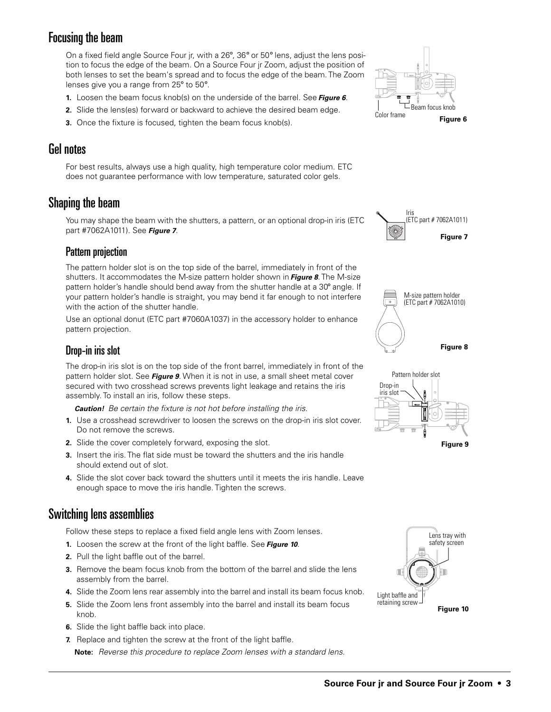#### Focusing the beam

On a fixed field angle Source Four jr, with a 26°, 36° or 50° lens, adjust the lens position to focus the edge of the beam. On a Source Four jr Zoom, adjust the position of both lenses to set the beam's spread and to focus the edge of the beam. The Zoom lenses give you a range from 25° to 50°.

- **1.** Loosen the beam focus knob(s) on the underside of the barrel. See **Figure 6**.
- **2.** Slide the lens(es) forward or backward to achieve the desired beam edge.
- **3.** Once the fixture is focused, tighten the beam focus knob(s).

#### Gel notes

For best results, always use a high quality, high temperature color medium. ETC does not guarantee performance with low temperature, saturated color gels.

#### Shaping the beam

You may shape the beam with the shutters, a pattern, or an optional drop-in iris (ETC part #7062A1011). See **Figure 7**.

#### Pattern projection

The pattern holder slot is on the top side of the barrel, immediately in front of the shutters. It accommodates the M-size pattern holder shown in **Figure 8**. The M-size pattern holder's handle should bend away from the shutter handle at a 30° angle. If your pattern holder's handle is straight, you may bend it far enough to not interfere with the action of the shutter handle.

Use an optional donut (ETC part #7060A1037) in the accessory holder to enhance pattern projection.



The drop-in iris slot is on the top side of the front barrel, immediately in front of the pattern holder slot. See **Figure 9**. When it is not in use, a small sheet metal cover secured with two crosshead screws prevents light leakage and retains the iris assembly. To install an iris, follow these steps.

**Caution!** Be certain the fixture is not hot before installing the iris.

- **1.** Use a crosshead screwdriver to loosen the screws on the drop-in iris slot cover. Do not remove the screws.
- **2.** Slide the cover completely forward, exposing the slot.
- **3.** Insert the iris. The flat side must be toward the shutters and the iris handle should extend out of slot.
- **4.** Slide the slot cover back toward the shutters until it meets the iris handle. Leave enough space to move the iris handle. Tighten the screws.

## Switching lens assemblies

Follow these steps to replace a fixed field angle lens with Zoom lenses.

- **1.** Loosen the screw at the front of the light baffle. See **Figure 10**.
- **2.** Pull the light baffle out of the barrel.
- **3.** Remove the beam focus knob from the bottom of the barrel and slide the lens assembly from the barrel.
- **4.** Slide the Zoom lens rear assembly into the barrel and install its beam focus knob.
- **5.** Slide the Zoom lens front assembly into the barrel and install its beam focus knob.
- **6.** Slide the light baffle back into place.
- **7.** Replace and tighten the screw at the front of the light baffle. **Note:** Reverse this procedure to replace Zoom lenses with a standard lens.